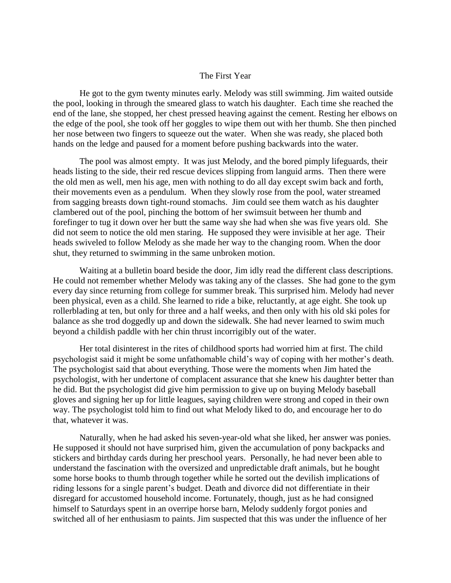## The First Year

He got to the gym twenty minutes early. Melody was still swimming. Jim waited outside the pool, looking in through the smeared glass to watch his daughter. Each time she reached the end of the lane, she stopped, her chest pressed heaving against the cement. Resting her elbows on the edge of the pool, she took off her goggles to wipe them out with her thumb. She then pinched her nose between two fingers to squeeze out the water. When she was ready, she placed both hands on the ledge and paused for a moment before pushing backwards into the water.

The pool was almost empty. It was just Melody, and the bored pimply lifeguards, their heads listing to the side, their red rescue devices slipping from languid arms. Then there were the old men as well, men his age, men with nothing to do all day except swim back and forth, their movements even as a pendulum. When they slowly rose from the pool, water streamed from sagging breasts down tight-round stomachs. Jim could see them watch as his daughter clambered out of the pool, pinching the bottom of her swimsuit between her thumb and forefinger to tug it down over her butt the same way she had when she was five years old. She did not seem to notice the old men staring. He supposed they were invisible at her age. Their heads swiveled to follow Melody as she made her way to the changing room. When the door shut, they returned to swimming in the same unbroken motion.

Waiting at a bulletin board beside the door, Jim idly read the different class descriptions. He could not remember whether Melody was taking any of the classes. She had gone to the gym every day since returning from college for summer break. This surprised him. Melody had never been physical, even as a child. She learned to ride a bike, reluctantly, at age eight. She took up rollerblading at ten, but only for three and a half weeks, and then only with his old ski poles for balance as she trod doggedly up and down the sidewalk. She had never learned to swim much beyond a childish paddle with her chin thrust incorrigibly out of the water.

Her total disinterest in the rites of childhood sports had worried him at first. The child psychologist said it might be some unfathomable child's way of coping with her mother's death. The psychologist said that about everything. Those were the moments when Jim hated the psychologist, with her undertone of complacent assurance that she knew his daughter better than he did. But the psychologist did give him permission to give up on buying Melody baseball gloves and signing her up for little leagues, saying children were strong and coped in their own way. The psychologist told him to find out what Melody liked to do, and encourage her to do that, whatever it was.

Naturally, when he had asked his seven-year-old what she liked, her answer was ponies. He supposed it should not have surprised him, given the accumulation of pony backpacks and stickers and birthday cards during her preschool years. Personally, he had never been able to understand the fascination with the oversized and unpredictable draft animals, but he bought some horse books to thumb through together while he sorted out the devilish implications of riding lessons for a single parent's budget. Death and divorce did not differentiate in their disregard for accustomed household income. Fortunately, though, just as he had consigned himself to Saturdays spent in an overripe horse barn, Melody suddenly forgot ponies and switched all of her enthusiasm to paints. Jim suspected that this was under the influence of her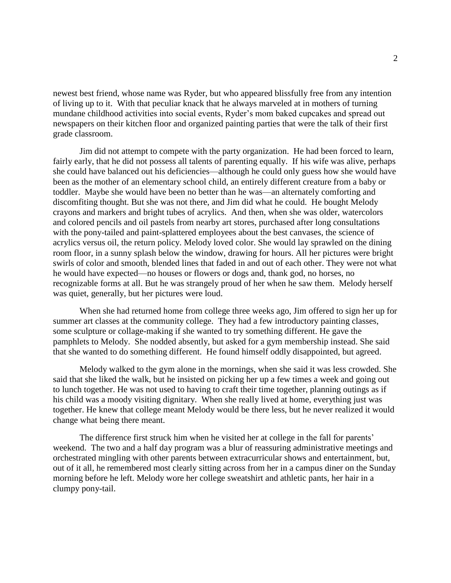newest best friend, whose name was Ryder, but who appeared blissfully free from any intention of living up to it. With that peculiar knack that he always marveled at in mothers of turning mundane childhood activities into social events, Ryder's mom baked cupcakes and spread out newspapers on their kitchen floor and organized painting parties that were the talk of their first grade classroom.

Jim did not attempt to compete with the party organization. He had been forced to learn, fairly early, that he did not possess all talents of parenting equally. If his wife was alive, perhaps she could have balanced out his deficiencies—although he could only guess how she would have been as the mother of an elementary school child, an entirely different creature from a baby or toddler. Maybe she would have been no better than he was—an alternately comforting and discomfiting thought. But she was not there, and Jim did what he could. He bought Melody crayons and markers and bright tubes of acrylics. And then, when she was older, watercolors and colored pencils and oil pastels from nearby art stores, purchased after long consultations with the pony-tailed and paint-splattered employees about the best canvases, the science of acrylics versus oil, the return policy. Melody loved color. She would lay sprawled on the dining room floor, in a sunny splash below the window, drawing for hours. All her pictures were bright swirls of color and smooth, blended lines that faded in and out of each other. They were not what he would have expected—no houses or flowers or dogs and, thank god, no horses, no recognizable forms at all. But he was strangely proud of her when he saw them. Melody herself was quiet, generally, but her pictures were loud.

When she had returned home from college three weeks ago, Jim offered to sign her up for summer art classes at the community college. They had a few introductory painting classes, some sculpture or collage-making if she wanted to try something different. He gave the pamphlets to Melody. She nodded absently, but asked for a gym membership instead. She said that she wanted to do something different. He found himself oddly disappointed, but agreed.

Melody walked to the gym alone in the mornings, when she said it was less crowded. She said that she liked the walk, but he insisted on picking her up a few times a week and going out to lunch together. He was not used to having to craft their time together, planning outings as if his child was a moody visiting dignitary. When she really lived at home, everything just was together. He knew that college meant Melody would be there less, but he never realized it would change what being there meant.

The difference first struck him when he visited her at college in the fall for parents' weekend. The two and a half day program was a blur of reassuring administrative meetings and orchestrated mingling with other parents between extracurricular shows and entertainment, but, out of it all, he remembered most clearly sitting across from her in a campus diner on the Sunday morning before he left. Melody wore her college sweatshirt and athletic pants, her hair in a clumpy pony-tail.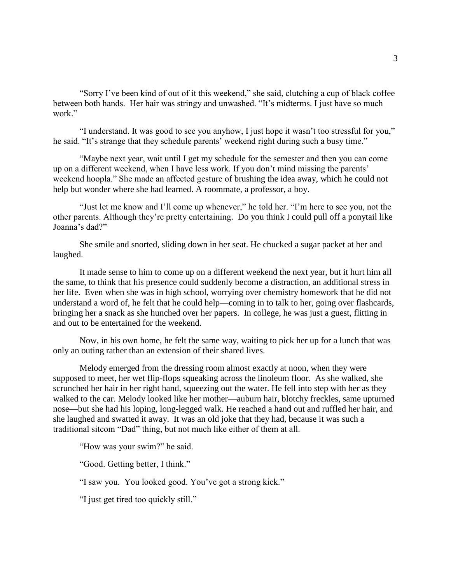"Sorry I've been kind of out of it this weekend," she said, clutching a cup of black coffee between both hands. Her hair was stringy and unwashed. "It's midterms. I just have so much work"

"I understand. It was good to see you anyhow, I just hope it wasn't too stressful for you," he said. "It's strange that they schedule parents' weekend right during such a busy time."

"Maybe next year, wait until I get my schedule for the semester and then you can come up on a different weekend, when I have less work. If you don't mind missing the parents' weekend hoopla." She made an affected gesture of brushing the idea away, which he could not help but wonder where she had learned. A roommate, a professor, a boy.

"Just let me know and I'll come up whenever," he told her. "I'm here to see you, not the other parents. Although they're pretty entertaining. Do you think I could pull off a ponytail like Joanna's dad?"

She smile and snorted, sliding down in her seat. He chucked a sugar packet at her and laughed.

It made sense to him to come up on a different weekend the next year, but it hurt him all the same, to think that his presence could suddenly become a distraction, an additional stress in her life. Even when she was in high school, worrying over chemistry homework that he did not understand a word of, he felt that he could help—coming in to talk to her, going over flashcards, bringing her a snack as she hunched over her papers. In college, he was just a guest, flitting in and out to be entertained for the weekend.

Now, in his own home, he felt the same way, waiting to pick her up for a lunch that was only an outing rather than an extension of their shared lives.

Melody emerged from the dressing room almost exactly at noon, when they were supposed to meet, her wet flip-flops squeaking across the linoleum floor. As she walked, she scrunched her hair in her right hand, squeezing out the water. He fell into step with her as they walked to the car. Melody looked like her mother—auburn hair, blotchy freckles, same upturned nose—but she had his loping, long-legged walk. He reached a hand out and ruffled her hair, and she laughed and swatted it away. It was an old joke that they had, because it was such a traditional sitcom "Dad" thing, but not much like either of them at all.

"How was your swim?" he said.

"Good. Getting better, I think."

"I saw you. You looked good. You've got a strong kick."

"I just get tired too quickly still."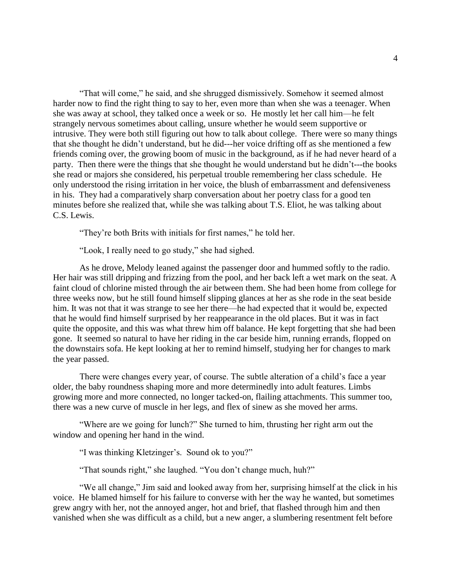"That will come," he said, and she shrugged dismissively. Somehow it seemed almost harder now to find the right thing to say to her, even more than when she was a teenager. When she was away at school, they talked once a week or so. He mostly let her call him—he felt strangely nervous sometimes about calling, unsure whether he would seem supportive or intrusive. They were both still figuring out how to talk about college. There were so many things that she thought he didn't understand, but he did---her voice drifting off as she mentioned a few friends coming over, the growing boom of music in the background, as if he had never heard of a party. Then there were the things that she thought he would understand but he didn't---the books she read or majors she considered, his perpetual trouble remembering her class schedule. He only understood the rising irritation in her voice, the blush of embarrassment and defensiveness in his. They had a comparatively sharp conversation about her poetry class for a good ten minutes before she realized that, while she was talking about T.S. Eliot, he was talking about C.S. Lewis.

"They're both Brits with initials for first names," he told her.

"Look, I really need to go study," she had sighed.

As he drove, Melody leaned against the passenger door and hummed softly to the radio. Her hair was still dripping and frizzing from the pool, and her back left a wet mark on the seat. A faint cloud of chlorine misted through the air between them. She had been home from college for three weeks now, but he still found himself slipping glances at her as she rode in the seat beside him. It was not that it was strange to see her there—he had expected that it would be, expected that he would find himself surprised by her reappearance in the old places. But it was in fact quite the opposite, and this was what threw him off balance. He kept forgetting that she had been gone. It seemed so natural to have her riding in the car beside him, running errands, flopped on the downstairs sofa. He kept looking at her to remind himself, studying her for changes to mark the year passed.

There were changes every year, of course. The subtle alteration of a child's face a year older, the baby roundness shaping more and more determinedly into adult features. Limbs growing more and more connected, no longer tacked-on, flailing attachments. This summer too, there was a new curve of muscle in her legs, and flex of sinew as she moved her arms.

"Where are we going for lunch?" She turned to him, thrusting her right arm out the window and opening her hand in the wind.

"I was thinking Kletzinger's. Sound ok to you?"

"That sounds right," she laughed. "You don't change much, huh?"

"We all change," Jim said and looked away from her, surprising himself at the click in his voice. He blamed himself for his failure to converse with her the way he wanted, but sometimes grew angry with her, not the annoyed anger, hot and brief, that flashed through him and then vanished when she was difficult as a child, but a new anger, a slumbering resentment felt before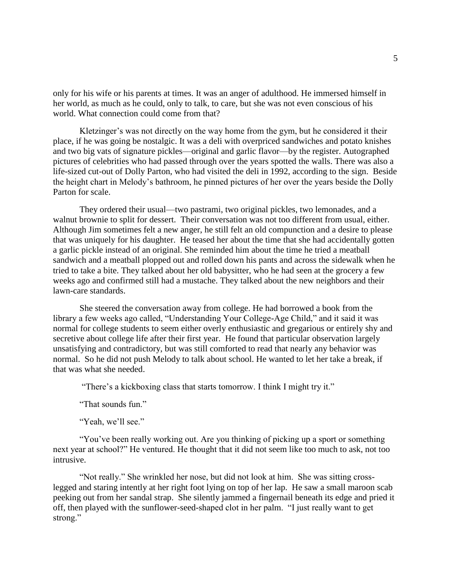only for his wife or his parents at times. It was an anger of adulthood. He immersed himself in her world, as much as he could, only to talk, to care, but she was not even conscious of his world. What connection could come from that?

Kletzinger's was not directly on the way home from the gym, but he considered it their place, if he was going be nostalgic. It was a deli with overpriced sandwiches and potato knishes and two big vats of signature pickles—original and garlic flavor—by the register. Autographed pictures of celebrities who had passed through over the years spotted the walls. There was also a life-sized cut-out of Dolly Parton, who had visited the deli in 1992, according to the sign. Beside the height chart in Melody's bathroom, he pinned pictures of her over the years beside the Dolly Parton for scale.

They ordered their usual—two pastrami, two original pickles, two lemonades, and a walnut brownie to split for dessert. Their conversation was not too different from usual, either. Although Jim sometimes felt a new anger, he still felt an old compunction and a desire to please that was uniquely for his daughter. He teased her about the time that she had accidentally gotten a garlic pickle instead of an original. She reminded him about the time he tried a meatball sandwich and a meatball plopped out and rolled down his pants and across the sidewalk when he tried to take a bite. They talked about her old babysitter, who he had seen at the grocery a few weeks ago and confirmed still had a mustache. They talked about the new neighbors and their lawn-care standards.

She steered the conversation away from college. He had borrowed a book from the library a few weeks ago called, "Understanding Your College-Age Child," and it said it was normal for college students to seem either overly enthusiastic and gregarious or entirely shy and secretive about college life after their first year. He found that particular observation largely unsatisfying and contradictory, but was still comforted to read that nearly any behavior was normal. So he did not push Melody to talk about school. He wanted to let her take a break, if that was what she needed.

"There's a kickboxing class that starts tomorrow. I think I might try it."

"That sounds fun."

"Yeah, we'll see."

"You've been really working out. Are you thinking of picking up a sport or something next year at school?" He ventured. He thought that it did not seem like too much to ask, not too intrusive.

"Not really." She wrinkled her nose, but did not look at him. She was sitting crosslegged and staring intently at her right foot lying on top of her lap. He saw a small maroon scab peeking out from her sandal strap. She silently jammed a fingernail beneath its edge and pried it off, then played with the sunflower-seed-shaped clot in her palm. "I just really want to get strong."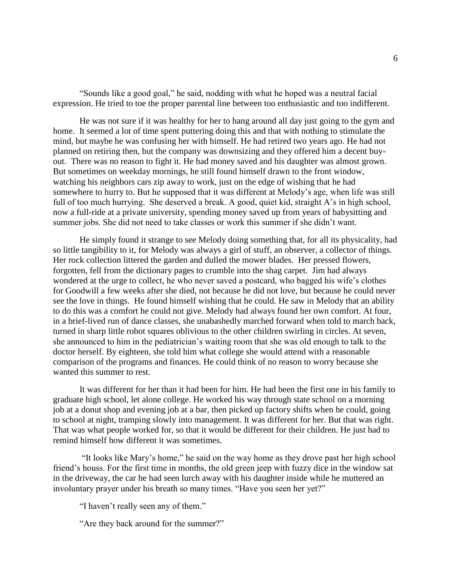"Sounds like a good goal," he said, nodding with what he hoped was a neutral facial expression. He tried to toe the proper parental line between too enthusiastic and too indifferent.

He was not sure if it was healthy for her to hang around all day just going to the gym and home. It seemed a lot of time spent puttering doing this and that with nothing to stimulate the mind, but maybe he was confusing her with himself. He had retired two years ago. He had not planned on retiring then, but the company was downsizing and they offered him a decent buyout. There was no reason to fight it. He had money saved and his daughter was almost grown. But sometimes on weekday mornings, he still found himself drawn to the front window, watching his neighbors cars zip away to work, just on the edge of wishing that he had somewhere to hurry to. But he supposed that it was different at Melody's age, when life was still full of too much hurrying. She deserved a break. A good, quiet kid, straight A's in high school, now a full-ride at a private university, spending money saved up from years of babysitting and summer jobs. She did not need to take classes or work this summer if she didn't want.

He simply found it strange to see Melody doing something that, for all its physicality, had so little tangibility to it, for Melody was always a girl of stuff, an observer, a collector of things. Her rock collection littered the garden and dulled the mower blades. Her pressed flowers, forgotten, fell from the dictionary pages to crumble into the shag carpet. Jim had always wondered at the urge to collect, he who never saved a postcard, who bagged his wife's clothes for Goodwill a few weeks after she died, not because he did not love, but because he could never see the love in things. He found himself wishing that he could. He saw in Melody that an ability to do this was a comfort he could not give. Melody had always found her own comfort. At four, in a brief-lived run of dance classes, she unabashedly marched forward when told to march back, turned in sharp little robot squares oblivious to the other children swirling in circles. At seven, she announced to him in the pediatrician's waiting room that she was old enough to talk to the doctor herself. By eighteen, she told him what college she would attend with a reasonable comparison of the programs and finances. He could think of no reason to worry because she wanted this summer to rest.

It was different for her than it had been for him. He had been the first one in his family to graduate high school, let alone college. He worked his way through state school on a morning job at a donut shop and evening job at a bar, then picked up factory shifts when he could, going to school at night, tramping slowly into management. It was different for her. But that was right. That was what people worked for, so that it would be different for their children. He just had to remind himself how different it was sometimes.

"It looks like Mary's home," he said on the way home as they drove past her high school friend's houss. For the first time in months, the old green jeep with fuzzy dice in the window sat in the driveway, the car he had seen lurch away with his daughter inside while he muttered an involuntary prayer under his breath so many times. "Have you seen her yet?"

"I haven't really seen any of them."

"Are they back around for the summer?"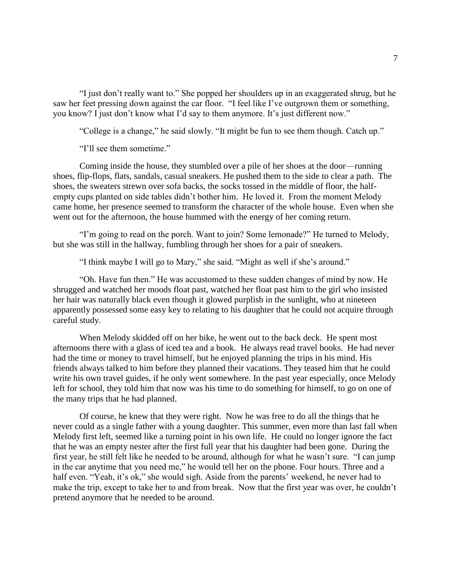"I just don't really want to." She popped her shoulders up in an exaggerated shrug, but he saw her feet pressing down against the car floor. "I feel like I've outgrown them or something, you know? I just don't know what I'd say to them anymore. It's just different now."

"College is a change," he said slowly. "It might be fun to see them though. Catch up."

"I'll see them sometime."

Coming inside the house, they stumbled over a pile of her shoes at the door—running shoes, flip-flops, flats, sandals, casual sneakers. He pushed them to the side to clear a path. The shoes, the sweaters strewn over sofa backs, the socks tossed in the middle of floor, the halfempty cups planted on side tables didn't bother him. He loved it. From the moment Melody came home, her presence seemed to transform the character of the whole house. Even when she went out for the afternoon, the house hummed with the energy of her coming return.

"I'm going to read on the porch. Want to join? Some lemonade?" He turned to Melody, but she was still in the hallway, fumbling through her shoes for a pair of sneakers.

"I think maybe I will go to Mary," she said. "Might as well if she's around."

"Oh. Have fun then." He was accustomed to these sudden changes of mind by now. He shrugged and watched her moods float past, watched her float past him to the girl who insisted her hair was naturally black even though it glowed purplish in the sunlight, who at nineteen apparently possessed some easy key to relating to his daughter that he could not acquire through careful study.

When Melody skidded off on her bike, he went out to the back deck. He spent most afternoons there with a glass of iced tea and a book. He always read travel books. He had never had the time or money to travel himself, but he enjoyed planning the trips in his mind. His friends always talked to him before they planned their vacations. They teased him that he could write his own travel guides, if he only went somewhere. In the past year especially, once Melody left for school, they told him that now was his time to do something for himself, to go on one of the many trips that he had planned.

Of course, he knew that they were right. Now he was free to do all the things that he never could as a single father with a young daughter. This summer, even more than last fall when Melody first left, seemed like a turning point in his own life. He could no longer ignore the fact that he was an empty nester after the first full year that his daughter had been gone. During the first year, he still felt like he needed to be around, although for what he wasn't sure. "I can jump in the car anytime that you need me," he would tell her on the phone. Four hours. Three and a half even. "Yeah, it's ok," she would sigh. Aside from the parents' weekend, he never had to make the trip, except to take her to and from break. Now that the first year was over, he couldn't pretend anymore that he needed to be around.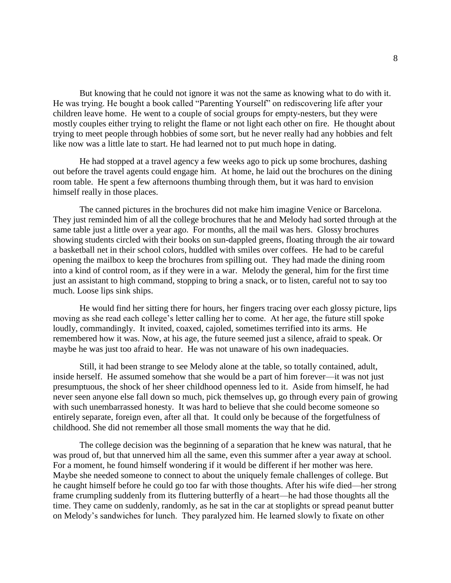But knowing that he could not ignore it was not the same as knowing what to do with it. He was trying. He bought a book called "Parenting Yourself" on rediscovering life after your children leave home. He went to a couple of social groups for empty-nesters, but they were mostly couples either trying to relight the flame or not light each other on fire. He thought about trying to meet people through hobbies of some sort, but he never really had any hobbies and felt like now was a little late to start. He had learned not to put much hope in dating.

He had stopped at a travel agency a few weeks ago to pick up some brochures, dashing out before the travel agents could engage him. At home, he laid out the brochures on the dining room table. He spent a few afternoons thumbing through them, but it was hard to envision himself really in those places.

The canned pictures in the brochures did not make him imagine Venice or Barcelona. They just reminded him of all the college brochures that he and Melody had sorted through at the same table just a little over a year ago. For months, all the mail was hers. Glossy brochures showing students circled with their books on sun-dappled greens, floating through the air toward a basketball net in their school colors, huddled with smiles over coffees. He had to be careful opening the mailbox to keep the brochures from spilling out. They had made the dining room into a kind of control room, as if they were in a war. Melody the general, him for the first time just an assistant to high command, stopping to bring a snack, or to listen, careful not to say too much. Loose lips sink ships.

He would find her sitting there for hours, her fingers tracing over each glossy picture, lips moving as she read each college's letter calling her to come. At her age, the future still spoke loudly, commandingly. It invited, coaxed, cajoled, sometimes terrified into its arms. He remembered how it was. Now, at his age, the future seemed just a silence, afraid to speak. Or maybe he was just too afraid to hear. He was not unaware of his own inadequacies.

Still, it had been strange to see Melody alone at the table, so totally contained, adult, inside herself. He assumed somehow that she would be a part of him forever—it was not just presumptuous, the shock of her sheer childhood openness led to it. Aside from himself, he had never seen anyone else fall down so much, pick themselves up, go through every pain of growing with such unembarrassed honesty. It was hard to believe that she could become someone so entirely separate, foreign even, after all that. It could only be because of the forgetfulness of childhood. She did not remember all those small moments the way that he did.

The college decision was the beginning of a separation that he knew was natural, that he was proud of, but that unnerved him all the same, even this summer after a year away at school. For a moment, he found himself wondering if it would be different if her mother was here. Maybe she needed someone to connect to about the uniquely female challenges of college. But he caught himself before he could go too far with those thoughts. After his wife died—her strong frame crumpling suddenly from its fluttering butterfly of a heart—he had those thoughts all the time. They came on suddenly, randomly, as he sat in the car at stoplights or spread peanut butter on Melody's sandwiches for lunch. They paralyzed him. He learned slowly to fixate on other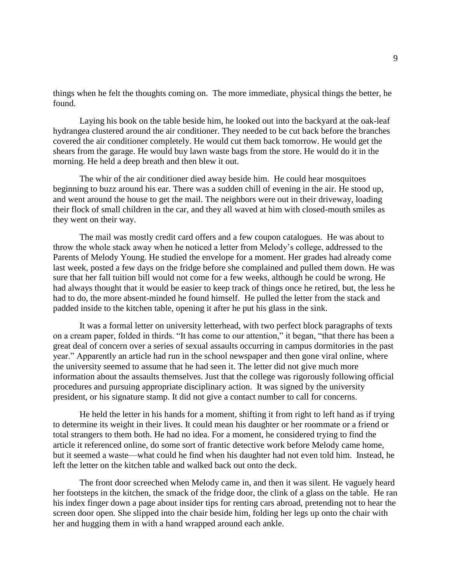things when he felt the thoughts coming on. The more immediate, physical things the better, he found.

Laying his book on the table beside him, he looked out into the backyard at the oak-leaf hydrangea clustered around the air conditioner. They needed to be cut back before the branches covered the air conditioner completely. He would cut them back tomorrow. He would get the shears from the garage. He would buy lawn waste bags from the store. He would do it in the morning. He held a deep breath and then blew it out.

The whir of the air conditioner died away beside him. He could hear mosquitoes beginning to buzz around his ear. There was a sudden chill of evening in the air. He stood up, and went around the house to get the mail. The neighbors were out in their driveway, loading their flock of small children in the car, and they all waved at him with closed-mouth smiles as they went on their way.

The mail was mostly credit card offers and a few coupon catalogues. He was about to throw the whole stack away when he noticed a letter from Melody's college, addressed to the Parents of Melody Young. He studied the envelope for a moment. Her grades had already come last week, posted a few days on the fridge before she complained and pulled them down. He was sure that her fall tuition bill would not come for a few weeks, although he could be wrong. He had always thought that it would be easier to keep track of things once he retired, but, the less he had to do, the more absent-minded he found himself. He pulled the letter from the stack and padded inside to the kitchen table, opening it after he put his glass in the sink.

It was a formal letter on university letterhead, with two perfect block paragraphs of texts on a cream paper, folded in thirds. "It has come to our attention," it began, "that there has been a great deal of concern over a series of sexual assaults occurring in campus dormitories in the past year." Apparently an article had run in the school newspaper and then gone viral online, where the university seemed to assume that he had seen it. The letter did not give much more information about the assaults themselves. Just that the college was rigorously following official procedures and pursuing appropriate disciplinary action. It was signed by the university president, or his signature stamp. It did not give a contact number to call for concerns.

He held the letter in his hands for a moment, shifting it from right to left hand as if trying to determine its weight in their lives. It could mean his daughter or her roommate or a friend or total strangers to them both. He had no idea. For a moment, he considered trying to find the article it referenced online, do some sort of frantic detective work before Melody came home, but it seemed a waste—what could he find when his daughter had not even told him. Instead, he left the letter on the kitchen table and walked back out onto the deck.

The front door screeched when Melody came in, and then it was silent. He vaguely heard her footsteps in the kitchen, the smack of the fridge door, the clink of a glass on the table. He ran his index finger down a page about insider tips for renting cars abroad, pretending not to hear the screen door open. She slipped into the chair beside him, folding her legs up onto the chair with her and hugging them in with a hand wrapped around each ankle.